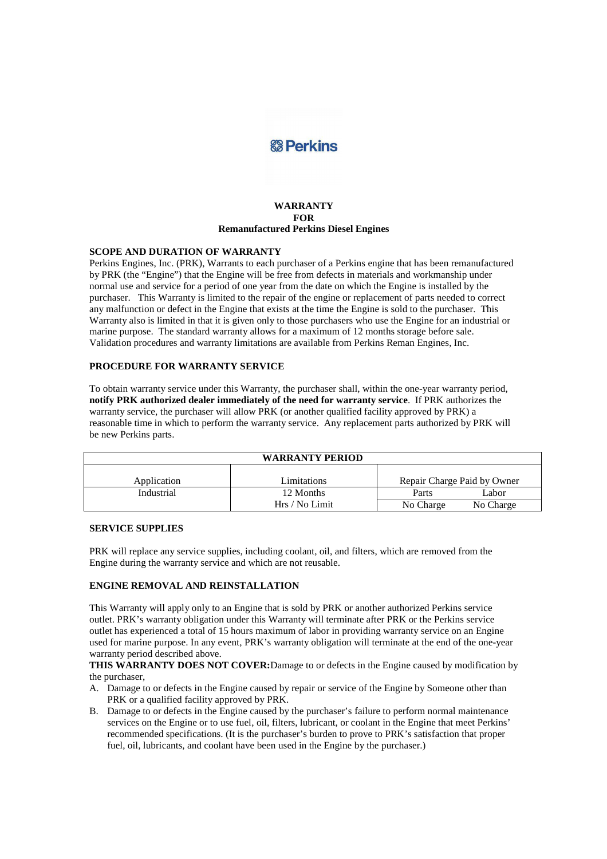# **&B** Perkins

### **WARRANTY FOR Remanufactured Perkins Diesel Engines**

### **SCOPE AND DURATION OF WARRANTY**

Perkins Engines, Inc. (PRK), Warrants to each purchaser of a Perkins engine that has been remanufactured by PRK (the "Engine") that the Engine will be free from defects in materials and workmanship under normal use and service for a period of one year from the date on which the Engine is installed by the purchaser. This Warranty is limited to the repair of the engine or replacement of parts needed to correct any malfunction or defect in the Engine that exists at the time the Engine is sold to the purchaser. This Warranty also is limited in that it is given only to those purchasers who use the Engine for an industrial or marine purpose. The standard warranty allows for a maximum of 12 months storage before sale. Validation procedures and warranty limitations are available from Perkins Reman Engines, Inc.

#### **PROCEDURE FOR WARRANTY SERVICE**

To obtain warranty service under this Warranty, the purchaser shall, within the one-year warranty period, **notify PRK authorized dealer immediately of the need for warranty service**. If PRK authorizes the warranty service, the purchaser will allow PRK (or another qualified facility approved by PRK) a reasonable time in which to perform the warranty service. Any replacement parts authorized by PRK will be new Perkins parts.

| <b>WARRANTY PERIOD</b> |                             |                             |                    |
|------------------------|-----------------------------|-----------------------------|--------------------|
| Application            | Limitations                 | Repair Charge Paid by Owner |                    |
| Industrial             | 12 Months<br>Hrs / No Limit | Parts<br>No Charge          | Labor<br>No Charge |

### **SERVICE SUPPLIES**

PRK will replace any service supplies, including coolant, oil, and filters, which are removed from the Engine during the warranty service and which are not reusable.

### **ENGINE REMOVAL AND REINSTALLATION**

This Warranty will apply only to an Engine that is sold by PRK or another authorized Perkins service outlet. PRK's warranty obligation under this Warranty will terminate after PRK or the Perkins service outlet has experienced a total of 15 hours maximum of labor in providing warranty service on an Engine used for marine purpose. In any event, PRK's warranty obligation will terminate at the end of the one-year warranty period described above.

**THIS WARRANTY DOES NOT COVER:**Damage to or defects in the Engine caused by modification by the purchaser,

- A. Damage to or defects in the Engine caused by repair or service of the Engine by Someone other than PRK or a qualified facility approved by PRK.
- B. Damage to or defects in the Engine caused by the purchaser's failure to perform normal maintenance services on the Engine or to use fuel, oil, filters, lubricant, or coolant in the Engine that meet Perkins' recommended specifications. (It is the purchaser's burden to prove to PRK's satisfaction that proper fuel, oil, lubricants, and coolant have been used in the Engine by the purchaser.)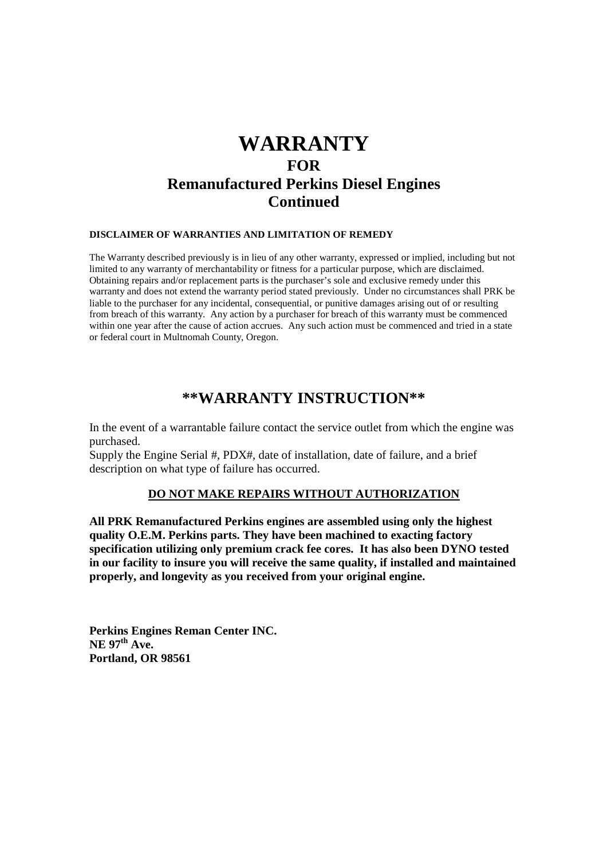# **WARRANTY FOR Remanufactured Perkins Diesel Engines Continued**

### **DISCLAIMER OF WARRANTIES AND LIMITATION OF REMEDY**

The Warranty described previously is in lieu of any other warranty, expressed or implied, including but not limited to any warranty of merchantability or fitness for a particular purpose, which are disclaimed. Obtaining repairs and/or replacement parts is the purchaser's sole and exclusive remedy under this warranty and does not extend the warranty period stated previously. Under no circumstances shall PRK be liable to the purchaser for any incidental, consequential, or punitive damages arising out of or resulting from breach of this warranty. Any action by a purchaser for breach of this warranty must be commenced within one year after the cause of action accrues. Any such action must be commenced and tried in a state or federal court in Multnomah County, Oregon.

## **\*\*WARRANTY INSTRUCTION\*\***

In the event of a warrantable failure contact the service outlet from which the engine was purchased.

Supply the Engine Serial #, PDX#, date of installation, date of failure, and a brief description on what type of failure has occurred.

### **DO NOT MAKE REPAIRS WITHOUT AUTHORIZATION**

**All PRK Remanufactured Perkins engines are assembled using only the highest quality O.E.M. Perkins parts. They have been machined to exacting factory specification utilizing only premium crack fee cores. It has also been DYNO tested in our facility to insure you will receive the same quality, if installed and maintained properly, and longevity as you received from your original engine.** 

**Perkins Engines Reman Center INC. NE 97th Ave. Portland, OR 98561**